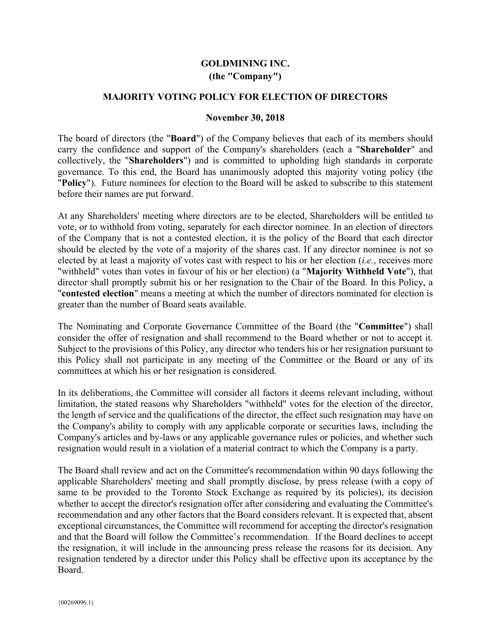## **GOLDMINING INC. (the "Company")**

## **MAJORITY VOTING POLICY FOR ELECTION OF DIRECTORS**

## **November 30, 2018**

The board of directors (the "**Board**") of the Company believes that each of its members should carry the confidence and support of the Company's shareholders (each a "**Shareholder**" and collectively, the "**Shareholders**") and is committed to upholding high standards in corporate governance. To this end, the Board has unanimously adopted this majority voting policy (the "**Policy**"). Future nominees for election to the Board will be asked to subscribe to this statement before their names are put forward.

At any Shareholders' meeting where directors are to be elected, Shareholders will be entitled to vote, or to withhold from voting, separately for each director nominee. In an election of directors of the Company that is not a contested election, it is the policy of the Board that each director should be elected by the vote of a majority of the shares cast. If any director nominee is not so elected by at least a majority of votes cast with respect to his or her election (*i.e.*, receives more "withheld" votes than votes in favour of his or her election) (a "**Majority Withheld Vote**"), that director shall promptly submit his or her resignation to the Chair of the Board. In this Policy, a "**contested election**" means a meeting at which the number of directors nominated for election is greater than the number of Board seats available.

The Nominating and Corporate Governance Committee of the Board (the "**Committee**") shall consider the offer of resignation and shall recommend to the Board whether or not to accept it. Subject to the provisions of this Policy, any director who tenders his or her resignation pursuant to this Policy shall not participate in any meeting of the Committee or the Board or any of its committees at which his or her resignation is considered.

In its deliberations, the Committee will consider all factors it deems relevant including, without limitation, the stated reasons why Shareholders "withheld" votes for the election of the director, the length of service and the qualifications of the director, the effect such resignation may have on the Company's ability to comply with any applicable corporate or securities laws, including the Company's articles and by-laws or any applicable governance rules or policies, and whether such resignation would result in a violation of a material contract to which the Company is a party.

The Board shall review and act on the Committee's recommendation within 90 days following the applicable Shareholders' meeting and shall promptly disclose, by press release (with a copy of same to be provided to the Toronto Stock Exchange as required by its policies), its decision whether to accept the director's resignation offer after considering and evaluating the Committee's recommendation and any other factors that the Board considers relevant. It is expected that, absent exceptional circumstances, the Committee will recommend for accepting the director's resignation and that the Board will follow the Committee's recommendation. If the Board declines to accept the resignation, it will include in the announcing press release the reasons for its decision. Any resignation tendered by a director under this Policy shall be effective upon its acceptance by the Board.